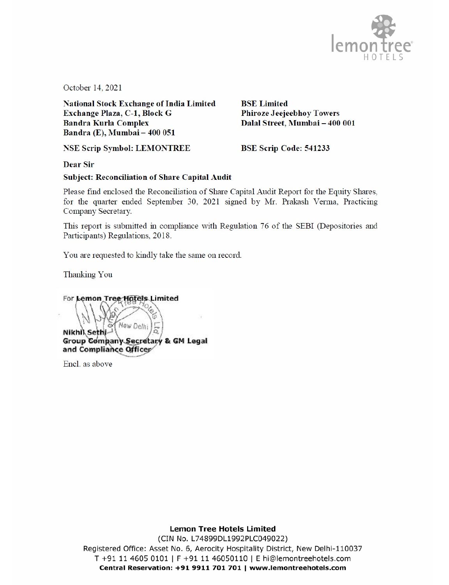

October 14, 2021

National Stock Exchange of India Limited<br> **Exchange Plaza, C-1, Block G** Phiroze Jeejeebhoy Towers Exchange Plaza, C-1, Block G<br>Bandra Kurla Complex Bandra Kurla Complex Dalal Street, Mumbai -400 <sup>001</sup> Bandra (E), Mumbai-- <sup>400</sup> <sup>051</sup>

NSE Scrip Symbol: LEMONTREE BSE Scrip Code: 541233

Dear Sir

# Subject: Reconciliation of Share Capital Audit

Please find enclosed the Reconciliation of Share Capital Audit Report for the Equity Shares, for the quarter ended September 30, 2021 signed by Mr. Prakash Verma, Practicing Company Secretary.

This report is submitted in compliance with Regulation <sup>76</sup> of the SEBI (Depositories and Participants) Regulations, 2018.

You are requested to kindly take the same on record.

Thanking You

For Lemon Tree Hotels Limited Vew Deln Group Company Secretary & GM Legal<br>and Compliance Officer<br>R Nikhil Seth

Encl. as above

Lemon Tree Hotels Limited (CIN No. L74899DL1992PLC049022) Registered Office: Asset No. 6, Aerocity Hospitality District, New Delhi-110037 T +91 11 4605 0101 | F +91 11 46050110 | E hi@lemontreehotels.com Central Reservation: +91 9911 701 701 www.lemontreehotels.com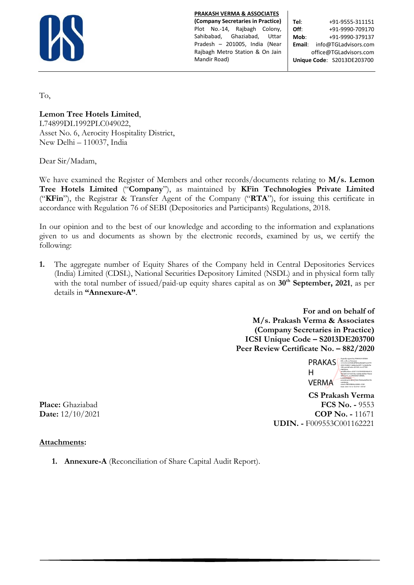

**PRAKASH VERMA & ASSOCIATES**

**(Company Secretaries in Practice)** Plot No.-14, Rajbagh Colony, Sahibabad, Ghaziabad, Uttar Pradesh – 201005, India (Near Rajbagh Metro Station & On Jain Mandir Road)

**Tel**: +91-9555-311151 **Off:**  $+91-9990-709170$ **Mob**: +91-9990-379137 **Email**: info@TGLadvisors.com office@TGLadvisors.com **Unique Code**: S2013DE203700

To,

**Lemon Tree Hotels Limited**,

L74899DL1992PLC049022, Asset No. 6, Aerocity Hospitality District, New Delhi – 110037, India

Dear Sir/Madam,

We have examined the Register of Members and other records/documents relating to **M/s. Lemon Tree Hotels Limited** ("**Company**"), as maintained by **KFin Technologies Private Limited**  ("**KFin**"), the Registrar & Transfer Agent of the Company ("**RTA**"), for issuing this certificate in accordance with Regulation 76 of SEBI (Depositories and Participants) Regulations, 2018.

In our opinion and to the best of our knowledge and according to the information and explanations given to us and documents as shown by the electronic records, examined by us, we certify the following:

**1.** The aggregate number of Equity Shares of the Company held in Central Depositories Services (India) Limited (CDSL), National Securities Depository Limited (NSDL) and in physical form tally with the total number of issued/paid-up equity shares capital as on 30<sup>th</sup> September, 2021, as per details in **"Annexure-A"**.

> **For and on behalf of M/s. Prakash Verma & Associates (Company Secretaries in Practice) ICSI Unique Code – S2013DE203700 Peer Review Certificate No. – 882/2020**



 **CS Prakash Verma Place:** Ghaziabad **FCS No. -** 9553 **Date:**  $12/10/2021$  **COP No. -** 11671 **UDIN. -** F009553C001162221

# **Attachments:**

**1. Annexure-A** (Reconciliation of Share Capital Audit Report).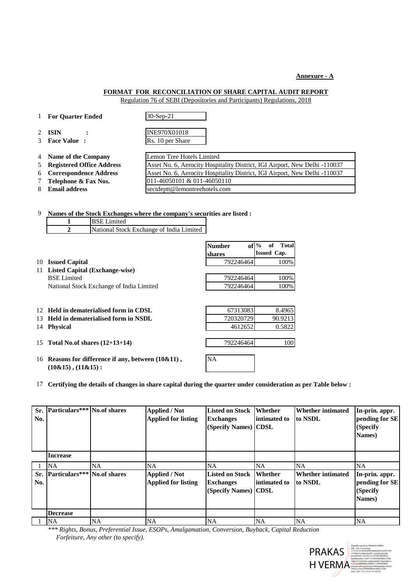#### **Annexure - A**

# **FORMAT FOR RECONCILIATION OF SHARE CAPITAL AUDIT REPORT**

Regulation 76 of SEBI (Depositories and Participants) Regulations, 2018

| $\mathbf{1}$                 | <b>For Ouarter Ended</b>           | $30-Sep-21$                                                                |
|------------------------------|------------------------------------|----------------------------------------------------------------------------|
| $2^{\circ}$<br>$\mathcal{E}$ | <b>ISIN</b><br><b>Face Value</b> : | INE970X01018                                                               |
|                              |                                    | Rs. 10 per Share                                                           |
| 4                            | Name of the Company                | Lemon Tree Hotels Limited                                                  |
| 5                            | <b>Registered Office Address</b>   | Asset No. 6, Aerocity Hospitality District, IGI Airport, New Delhi -110037 |
|                              | 6 Correspondence Address           | Asset No. 6, Aerocity Hospitality District, IGI Airport, New Delhi -110037 |
| 7                            | Telephone & Fax Nos.               | 011-46050101 & 011-46050110                                                |
| 8                            | <b>Email address</b>               | sectdeptt@lemontreehotels.com                                              |

| 9  | Names of the Stock Exchanges where the company's securities are listed : |                                                     |               |                        |  |
|----|--------------------------------------------------------------------------|-----------------------------------------------------|---------------|------------------------|--|
|    |                                                                          | <b>BSE</b> Limited                                  |               |                        |  |
|    | $\mathbf{2}$                                                             | National Stock Exchange of India Limited            |               |                        |  |
|    |                                                                          |                                                     | <b>Number</b> | $of \%$<br>of<br>Total |  |
|    |                                                                          |                                                     | shares        | <b>Issued Cap.</b>     |  |
| 10 | <b>Issued Capital</b>                                                    |                                                     | 792246464     | 100%                   |  |
| 11 | Listed Capital (Exchange-wise)                                           |                                                     |               |                        |  |
|    | <b>BSE Limited</b>                                                       |                                                     | 792246464     | 100%                   |  |
|    |                                                                          | National Stock Exchange of India Limited            | 792246464     | 100%                   |  |
|    |                                                                          |                                                     |               |                        |  |
| 12 |                                                                          | Held in dematerialised form in CDSL                 | 67313083      | 8.4965                 |  |
| 13 |                                                                          | Held in dematerialised form in NSDL                 | 720320729     | 90.9213                |  |
| 14 | <b>Physical</b>                                                          |                                                     | 4612652       | 0.5822                 |  |
|    |                                                                          |                                                     |               |                        |  |
| 15 |                                                                          | Total No.of shares $(12+13+14)$                     | 792246464     | 100                    |  |
|    |                                                                          |                                                     |               |                        |  |
| 16 |                                                                          | Reasons for difference if any, between $(10\&11)$ , | NA            |                        |  |
|    | $(10\&15)$ , $(11\&15)$ :                                                |                                                     |               |                        |  |

17 **Certifying the details of changes in share capital during the quarter under consideration as per Table below :**

| No. | Sr. Particulars*** No.of shares |           | <b>Applied / Not</b><br><b>Applied for listing</b> | <b>Listed on Stock</b><br><b>Exchanges</b><br>(Specify Names) CDSL | <b>Whether</b><br>intimated to | <b>Whether intimated</b><br>to NSDL | In-prin. appr.<br>pending for SE<br>(Specify<br>Names) |
|-----|---------------------------------|-----------|----------------------------------------------------|--------------------------------------------------------------------|--------------------------------|-------------------------------------|--------------------------------------------------------|
|     | <b>Increase</b>                 |           |                                                    |                                                                    |                                |                                     |                                                        |
|     | <b>NA</b>                       | NA        | NA                                                 | NA                                                                 | NA                             | NA                                  | <b>NA</b>                                              |
| No. | Sr. Particulars*** No.of shares |           | <b>Applied / Not</b><br><b>Applied for listing</b> | <b>Listed on Stock</b><br><b>Exchanges</b><br>(Specify Names) CDSL | Whether<br>intimated to        | <b>Whether intimated</b><br>to NSDL | In-prin. appr.<br>pending for SE<br>(Specify<br>Names) |
|     | <b>Decrease</b>                 |           |                                                    |                                                                    |                                |                                     |                                                        |
|     | <b>NA</b>                       | <b>NA</b> | <b>NA</b>                                          | <b>NA</b>                                                          | <b>NA</b>                      | <b>NA</b>                           | <b>NA</b>                                              |

*\*\*\* Rights, Bonus, Preferential Issue, ESOPs, Amalgamation, Conversion, Buyback, Capital Reduction Forfeiture, Any other (to specify).*